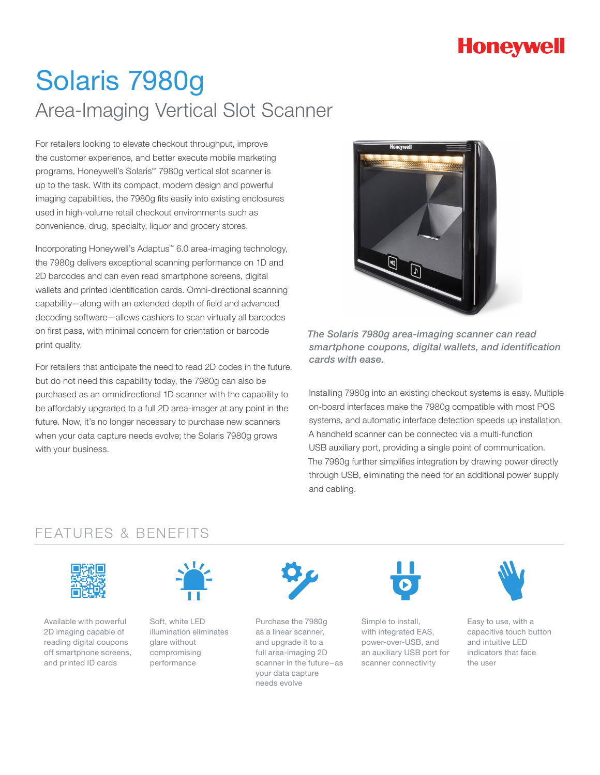## **Honeywell**

# Solaris 7980g Area-Imaging Vertical Slot Scanner

For retailers looking to elevate checkout throughput, improve the customer experience, and better execute mobile marketing programs, Honeywell's Solaris™ 7980g vertical slot scanner is up to the task. With its compact, modern design and powerful imaging capabilities, the 7980g fits easily into existing enclosures used in high-volume retail checkout environments such as convenience, drug, specialty, liquor and grocery stores.

Incorporating Honeywell's Adaptus™ 6.0 area-imaging technology, the 7980g delivers exceptional scanning performance on 1D and 2D barcodes and can even read smartphone screens, digital wallets and printed identification cards. Omni-directional scanning capability—along with an extended depth of field and advanced decoding software—allows cashiers to scan virtually all barcodes on first pass, with minimal concern for orientation or barcode print quality.

For retailers that anticipate the need to read 2D codes in the future, but do not need this capability today, the 7980g can also be purchased as an omnidirectional 1D scanner with the capability to be affordably upgraded to a full 2D area-imager at any point in the future. Now, it's no longer necessary to purchase new scanners when your data capture needs evolve; the Solaris 7980g grows with your business.



*The Solaris 7980g area-imaging scanner can read smartphone coupons, digital wallets, and identification cards with ease.*

Installing 7980g into an existing checkout systems is easy. Multiple on-board interfaces make the 7980g compatible with most POS systems, and automatic interface detection speeds up installation. A handheld scanner can be connected via a multi-function USB auxiliary port, providing a single point of communication. The 7980g further simplifies integration by drawing power directly through USB, eliminating the need for an additional power supply and cabling.

### FEATURES & BENEFITS



Available with powerful 2D imaging capable of reading digital coupons off smartphone screens, and printed ID cards



Soft, white LED illumination eliminates glare without compromising performance



Purchase the 7980g as a linear scanner, and upgrade it to a full area-imaging 2D scanner in the future–as your data capture needs evolve



Simple to install, with integrated EAS, power-over-USB, and an auxiliary USB port for scanner connectivity



Easy to use, with a capacitive touch button and intuitive LED indicators that face the user